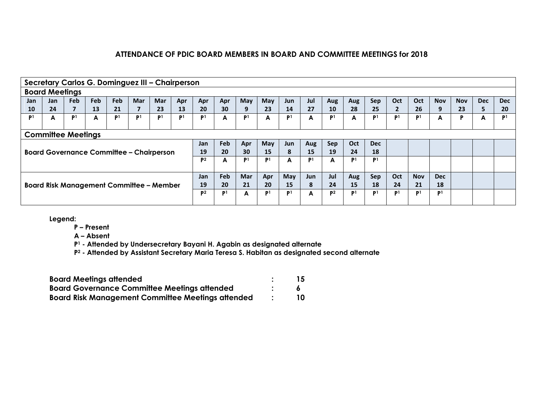|     |                                                                                                      |                |            |                |            | Secretary Carlos G. Dominguez III - Chairperson |                |                |                |                |                |                |                |                |                |                |                      |                |                |            |            |                |
|-----|------------------------------------------------------------------------------------------------------|----------------|------------|----------------|------------|-------------------------------------------------|----------------|----------------|----------------|----------------|----------------|----------------|----------------|----------------|----------------|----------------|----------------------|----------------|----------------|------------|------------|----------------|
|     | <b>Board Meetings</b>                                                                                |                |            |                |            |                                                 |                |                |                |                |                |                |                |                |                |                |                      |                |                |            |            |                |
| Jan | Jan                                                                                                  | <b>Feb</b>     | <b>Feb</b> | Feb            | <b>Mar</b> | <b>Mar</b>                                      | Apr            | Apr            | Apr            | May            | May            | Jun            | Jul            | Aug            | Aug            | Sep            | Oct                  | Oct            | <b>Nov</b>     | <b>Nov</b> | <b>Dec</b> | <b>Dec</b>     |
| 10  | 24                                                                                                   | $\overline{7}$ | 13         | 21             |            | 23                                              | 13             | 20             | 30             | 9              | 23             | 14             | 27             | 10             | 28             | 25             | $\mathbf{2}^{\circ}$ | 26             | 9              | 23         | 5.         | 20             |
| P1  | А                                                                                                    | P <sup>1</sup> | A          | P <sup>1</sup> | P1         | P1                                              | P <sub>1</sub> | P <sup>1</sup> | A              | P <sup>1</sup> | A              | P <sup>1</sup> | A              | P1.            | A              | P <sub>1</sub> | P <sub>1</sub>       | P <sub>1</sub> | A              | P          | A          | P <sub>1</sub> |
|     |                                                                                                      |                |            |                |            |                                                 |                |                |                |                |                |                |                |                |                |                |                      |                |                |            |            |                |
|     | <b>Committee Meetings</b>                                                                            |                |            |                |            |                                                 |                |                |                |                |                |                |                |                |                |                |                      |                |                |            |            |                |
|     | Feb<br>Oct<br>May<br><b>Dec</b><br>Jan<br>Apr<br><b>Sep</b><br>Aug<br>Jun                            |                |            |                |            |                                                 |                |                |                |                |                |                |                |                |                |                |                      |                |                |            |            |                |
|     | 24<br>20<br>30<br>15<br>19<br>8<br>15<br><b>Board Governance Committee - Chairperson</b><br>19<br>18 |                |            |                |            |                                                 |                |                |                |                |                |                |                |                |                |                |                      |                |                |            |            |                |
|     |                                                                                                      |                |            |                |            |                                                 |                |                |                | P <sup>1</sup> | P <sup>1</sup> | A              | P <sub>1</sub> | A              | P <sup>1</sup> | P <sub>1</sub> |                      |                |                |            |            |                |
|     | A                                                                                                    |                |            |                |            |                                                 |                |                |                |                |                |                |                |                |                |                |                      |                |                |            |            |                |
|     |                                                                                                      |                |            |                |            |                                                 |                | Jan            | Feb            | <b>Mar</b>     | Apr            | May            | Jun            | Jul            | Aug            | Sep            | Oct                  | <b>Nov</b>     | <b>Dec</b>     |            |            |                |
|     |                                                                                                      |                |            |                |            | <b>Board Risk Management Committee - Member</b> |                | 19             | 20             | 21             | 20             | 15             | 8              | 24             | 15             | 18             | 24                   | 21             | 18             |            |            |                |
|     |                                                                                                      |                |            |                |            |                                                 |                | P <sub>2</sub> | P <sub>1</sub> | A              | P <sub>1</sub> | P <sub>1</sub> | A              | P <sub>2</sub> | P <sup>1</sup> | P <sub>1</sub> | P1                   | P1             | P <sub>1</sub> |            |            |                |
|     |                                                                                                      |                |            |                |            |                                                 |                |                |                |                |                |                |                |                |                |                |                      |                |                |            |            |                |

**Legend:**

**P – Present**

**A – Absent**

**P<sup>1</sup> - Attended by Undersecretary Bayani H. Agabin as designated alternate**

**P<sup>2</sup> - Attended by Assistant Secretary Maria Teresa S. Habitan as designated second alternate**

| <b>Board Meetings attended</b>                      | 15 |
|-----------------------------------------------------|----|
| <b>Board Governance Committee Meetings attended</b> |    |
| Board Risk Management Committee Meetings attended   | 10 |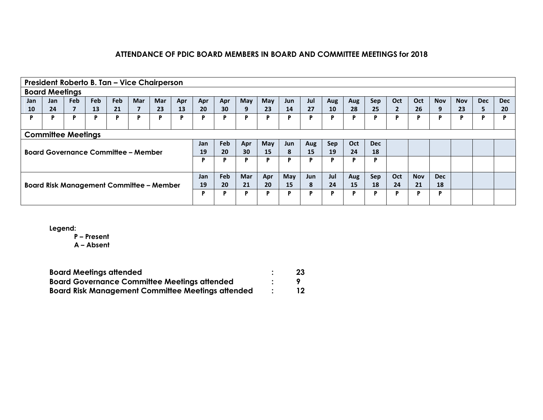|     | President Roberto B. Tan - Vice Chairperson                                                                  |                |                                                 |            |            |            |     |     |     |     |     |     |     |     |     |     |              |     |            |            |            |            |
|-----|--------------------------------------------------------------------------------------------------------------|----------------|-------------------------------------------------|------------|------------|------------|-----|-----|-----|-----|-----|-----|-----|-----|-----|-----|--------------|-----|------------|------------|------------|------------|
|     | <b>Board Meetings</b>                                                                                        |                |                                                 |            |            |            |     |     |     |     |     |     |     |     |     |     |              |     |            |            |            |            |
| Jan | Jan                                                                                                          | <b>Feb</b>     | Feb                                             | <b>Feb</b> | <b>Mar</b> | <b>Mar</b> | Apr | Apr | Apr | May | May | Jun | Jul | Aug | Aug | Sep | Oct          | Oct | <b>Nov</b> | <b>Nov</b> | <b>Dec</b> | <b>Dec</b> |
| 10  | 24                                                                                                           | $\overline{ }$ | 13                                              | 21         |            | 23         | 13  | 20  | 30  | 9   | 23  | 14  | 27  | 10  | 28  | 25  | $\mathbf{2}$ | 26  | 9          | 23         | 5          | 20         |
| P   | D                                                                                                            | P              | D                                               | P          | P          | Þ          | D   | P   | D   | D   | D   | P   | D   | D   | P   | P   | D            | Þ   | Þ          | P          | D          | D          |
|     |                                                                                                              |                |                                                 |            |            |            |     |     |     |     |     |     |     |     |     |     |              |     |            |            |            |            |
|     | <b>Committee Meetings</b>                                                                                    |                |                                                 |            |            |            |     |     |     |     |     |     |     |     |     |     |              |     |            |            |            |            |
|     | <b>Feb</b><br>Oct<br><b>Dec</b><br>May<br>Sep<br>Jan<br>Apr<br>Aug<br>Jun                                    |                |                                                 |            |            |            |     |     |     |     |     |     |     |     |     |     |              |     |            |            |            |            |
|     | 24<br>20<br>30<br>8<br>19<br>15<br>15<br>19<br>18<br><b>Board Governance Committee - Member</b>              |                |                                                 |            |            |            |     |     |     |     |     |     |     |     |     |     |              |     |            |            |            |            |
|     |                                                                                                              |                |                                                 |            |            |            |     | P   | в   | D   | D   | Þ   | Þ   | D   | P   | P   |              |     |            |            |            |            |
|     |                                                                                                              |                |                                                 |            |            |            |     |     |     |     |     |     |     |     |     |     |              |     |            |            |            |            |
|     | <b>Feb</b><br>Jul<br>Oct<br><b>Mar</b><br>Sep<br><b>Nov</b><br>Jan<br>Apr<br>May<br>Aug<br><b>Dec</b><br>Jun |                |                                                 |            |            |            |     |     |     |     |     |     |     |     |     |     |              |     |            |            |            |            |
|     |                                                                                                              |                | <b>Board Risk Management Committee - Member</b> |            |            |            |     | 19  | 20  | 21  | 20  | 15  | 8   | 24  | 15  | 18  | 24           | 21  | 18         |            |            |            |
|     |                                                                                                              |                |                                                 |            |            |            |     | P   | D   | D   | D   | Þ   | D   | D   | Þ   | D   | D            | D   | D          |            |            |            |
|     |                                                                                                              |                |                                                 |            |            |            |     |     |     |     |     |     |     |     |     |     |              |     |            |            |            |            |

**Legend:**

**P – Present**

**A – Absent**

| <b>Board Meetings attended</b>                           | -23 |
|----------------------------------------------------------|-----|
| <b>Board Governance Committee Meetings attended</b>      |     |
| <b>Board Risk Management Committee Meetings attended</b> | 12  |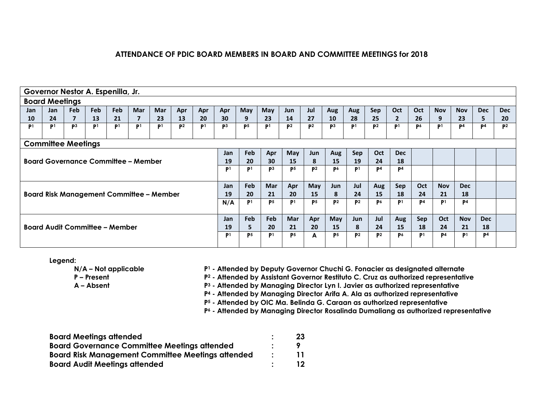|                | Governor Nestor A. Espenilla, Jr.               |                |                |                |                |                |                |                |                |                |                |                |                |                |                |                |                |                |                |                |                |                |
|----------------|-------------------------------------------------|----------------|----------------|----------------|----------------|----------------|----------------|----------------|----------------|----------------|----------------|----------------|----------------|----------------|----------------|----------------|----------------|----------------|----------------|----------------|----------------|----------------|
|                | <b>Board Meetings</b>                           |                |                |                |                |                |                |                |                |                |                |                |                |                |                |                |                |                |                |                |                |                |
| Jan            | Jan                                             | Feb            | Feb            | Feb            | <b>Mar</b>     | <b>Mar</b>     | Apr            | Apr            | Apr            | May            | May            | <b>Jun</b>     | Jul            | Aug            | Aug            | Sep            | Oct            | <b>Oct</b>     | <b>Nov</b>     | <b>Nov</b>     | <b>Dec</b>     | <b>Dec</b>     |
| 10             | 24                                              | $\overline{ }$ | 13             | 21             |                | 23             | 13             | 20             | 30             | 9              | 23             | 14             | 27             | 10             | 28             | 25             |                | 26             | 9              | 23             | 5.             | 20             |
| P <sub>1</sub> | P <sub>1</sub>                                  | P <sup>3</sup> | P <sup>1</sup> | P <sup>1</sup> | P <sup>1</sup> | P <sup>1</sup> | P <sup>2</sup> | P <sup>1</sup> | P <sub>3</sub> | P <sub>5</sub> | P <sup>1</sup> | P <sup>2</sup> | P <sup>2</sup> | P3             | P <sup>1</sup> | P <sup>2</sup> | P <sub>1</sub> | P <sub>6</sub> | P <sup>1</sup> | P <sup>4</sup> | P <sup>4</sup> | P <sup>2</sup> |
|                |                                                 |                |                |                |                |                |                |                |                |                |                |                |                |                |                |                |                |                |                |                |                |                |
|                | <b>Committee Meetings</b>                       |                |                |                |                |                |                |                |                |                |                |                |                |                |                |                |                |                |                |                |                |                |
|                |                                                 |                |                |                |                |                |                |                | Jan            | <b>Feb</b>     | Apr            | May            | Jun            | Aug            | Sep            | Oct            | <b>Dec</b>     |                |                |                |                |                |
|                | <b>Board Governance Committee - Member</b>      |                |                |                |                |                |                |                | 19             | 20             | 30             | 15             | 8              | <b>15</b>      | 19             | 24             | 18             |                |                |                |                |                |
|                |                                                 |                |                |                |                |                |                | P <sub>1</sub> | P <sub>1</sub> | P <sub>3</sub> | P <sub>5</sub> | P <sup>2</sup> | P٥             | P1.            | P <sub>4</sub> | P <sub>4</sub> |                |                |                |                |                |                |
|                |                                                 |                |                |                |                |                |                |                |                |                |                |                |                |                |                |                |                |                |                |                |                |                |
|                |                                                 |                |                |                |                |                |                |                | Jan            | <b>Feb</b>     | <b>Mar</b>     | Apr            | May            | Jun            | Jul            | Aug            | Sep            | Oct            | <b>Nov</b>     | <b>Dec</b>     |                |                |
|                | <b>Board Risk Management Committee - Member</b> |                |                |                |                |                |                |                | 19             | 20             | 21             | 20             | 15             | 8              | 24             | 15             | 18             | 24             | 21             | 18             |                |                |
|                |                                                 |                |                |                |                |                |                |                | N/A            | P <sup>1</sup> | P <sub>5</sub> | P <sup>1</sup> | P <sub>5</sub> | P <sup>2</sup> | P <sub>2</sub> | P <sub>6</sub> | P <sup>1</sup> | P <sup>4</sup> | P <sub>1</sub> | P <sub>4</sub> |                |                |
|                |                                                 |                |                |                |                |                |                |                |                |                |                |                |                |                |                |                |                |                |                |                |                |                |
|                |                                                 |                |                |                |                |                |                |                |                | Feb            | <b>Feb</b>     | <b>Mar</b>     | Apr            | May            | Jun            | Jul            | Aug            | Sep            | Oct            | <b>Nov</b>     | <b>Dec</b>     |                |
|                | <b>Board Audit Committee - Member</b>           |                |                |                |                |                |                |                | 19             | 5.             | 20             | 21             | 20             | 15             | 8              | 24             | 15             | 18             | 24             | 21             | 18             |                |
|                |                                                 |                |                |                |                |                |                |                | P <sub>1</sub> | P <sub>5</sub> | P1             | P <sub>5</sub> | A              | P5             | P <sup>2</sup> | P <sup>2</sup> | P <sub>6</sub> | P <sup>1</sup> | P <sup>4</sup> | P <sub>1</sub> | P <sup>4</sup> |                |
|                |                                                 |                |                |                |                |                |                |                |                |                |                |                |                |                |                |                |                |                |                |                |                |                |

**Legend:**

**N/A – Not applicable**

**P<sup>1</sup> - Attended by Deputy Governor Chuchi G. Fonacier as designated alternate**

**P – Present**

**A – Absent**

**P<sup>2</sup> - Attended by Assistant Governor Restituto C. Cruz as authorized representative** 

**P<sup>3</sup> - Attended by Managing Director Lyn I. Javier as authorized representative**

**P<sup>4</sup> - Attended by Managing Director Arifa A. Ala as authorized representative**

**P<sup>5</sup> - Attended by OIC Ma. Belinda G. Caraan as authorized representative**

**P<sup>6</sup> - Attended by Managing Director Rosalinda Dumaliang as authorized representative**

| <b>Board Meetings attended</b>                           | 23 |
|----------------------------------------------------------|----|
| <b>Board Governance Committee Meetings attended</b>      |    |
| <b>Board Risk Management Committee Meetings attended</b> | 11 |
| <b>Board Audit Meetings attended</b>                     | 12 |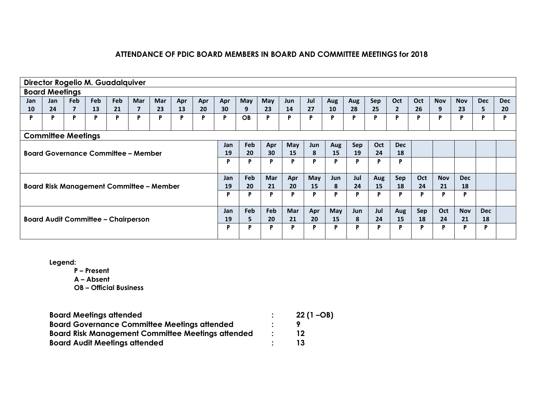|                                            | <b>Director Rogelio M. Guadalquiver</b>         |                |     |     |            |            |     |     |     |            |            |            |     |     |     |     |              |     |            |            |            |            |
|--------------------------------------------|-------------------------------------------------|----------------|-----|-----|------------|------------|-----|-----|-----|------------|------------|------------|-----|-----|-----|-----|--------------|-----|------------|------------|------------|------------|
|                                            | <b>Board Meetings</b>                           |                |     |     |            |            |     |     |     |            |            |            |     |     |     |     |              |     |            |            |            |            |
| Jan                                        | Jan                                             | Feb            | Feb | Feb | <b>Mar</b> | <b>Mar</b> | Apr | Apr | Apr | May        | May        | <b>Jun</b> | Jul | Aug | Aug | Sep | Oct          | Oct | <b>Nov</b> | <b>Nov</b> | <b>Dec</b> | <b>Dec</b> |
| 10                                         | 24                                              | $\overline{7}$ | 13  | 21  |            | 23         | 13  | 20  | 30  | 9          | 23         | 14         | 27  | 10  | 28  | 25  | $\mathbf{2}$ | 26  | 9          | 23         | 5.         | 20         |
| P                                          | P                                               | P              | P   | P   | P          | P          | P   | P   | P   | <b>OB</b>  | Р          | P          | Þ   | P   | P   | P   | P            | P   | P          | P          | D          | D          |
|                                            |                                                 |                |     |     |            |            |     |     |     |            |            |            |     |     |     |     |              |     |            |            |            |            |
|                                            | <b>Committee Meetings</b>                       |                |     |     |            |            |     |     |     |            |            |            |     |     |     |     |              |     |            |            |            |            |
|                                            |                                                 |                |     |     |            |            |     |     | Jan | <b>Feb</b> | Apr        | May        | Jun | Aug | Sep | Oct | <b>Dec</b>   |     |            |            |            |            |
| <b>Board Governance Committee - Member</b> |                                                 |                |     |     |            |            | 19  | 20  | 30  | 15         | 8          | 15         | 19  | 24  | 18  |     |              |     |            |            |            |            |
|                                            |                                                 |                |     |     |            |            |     |     | P   | P          | P          | P          | P   | P   | P   | P   | P            |     |            |            |            |            |
|                                            |                                                 |                |     |     |            |            |     |     | Jan | Feb        | Mar        | Apr        | May | Jun | Jul | Aug | Sep          | Oct | <b>Nov</b> | <b>Dec</b> |            |            |
|                                            |                                                 |                |     |     |            |            |     |     | 19  | 20         | 21         | 20         | 15  | 8   | 24  | 15  | 18           | 24  | 21         | 18         |            |            |
|                                            | <b>Board Risk Management Committee - Member</b> |                |     |     |            |            |     |     | P   | P          | Þ          | P          | P   | P   | P   | P   | P            | P   | Þ          | D          |            |            |
|                                            |                                                 |                |     |     |            |            |     |     | Jan | <b>Feb</b> | <b>Feb</b> | <b>Mar</b> | Apr | May | Jun | Jul | Aug          | Sep | Oct        | <b>Nov</b> | <b>Dec</b> |            |
|                                            | <b>Board Audit Committee - Chairperson</b>      |                |     |     |            |            |     |     |     | 5          | 20         | 21         | 20  | 15  | 8   | 24  | 15           | 18  | 24         | 21         | 18         |            |
|                                            |                                                 |                |     |     |            |            |     |     |     |            | P          | P          | P   | P   |     | P   | P            | P   | P          | D          | P          |            |
|                                            |                                                 |                |     |     |            |            |     |     |     |            |            |            |     |     |     |     |              |     |            |            |            |            |

**Legend:**

**P – Present**

**A – Absent**

**OB – Official Business**

| <b>Board Meetings attended</b>                           |                             | $22(1 - OB)$ |
|----------------------------------------------------------|-----------------------------|--------------|
| <b>Board Governance Committee Meetings attended</b>      |                             |              |
| <b>Board Risk Management Committee Meetings attended</b> | $\mathcal{L} = \mathcal{L}$ |              |
| <b>Board Audit Meetings attended</b>                     |                             | 13           |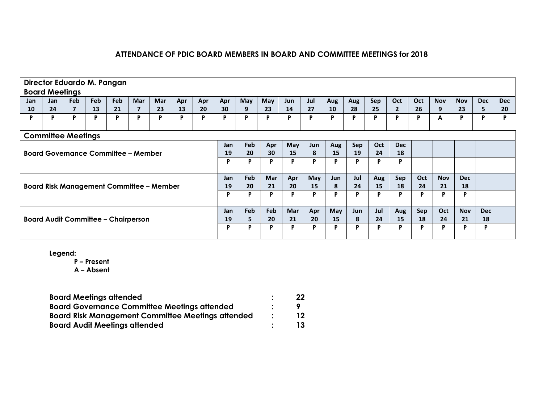|                                            | Director Eduardo M. Pangan                      |                |            |            |            |            |     |     |            |            |            |            |     |     |     |            |              |     |            |            |            |            |
|--------------------------------------------|-------------------------------------------------|----------------|------------|------------|------------|------------|-----|-----|------------|------------|------------|------------|-----|-----|-----|------------|--------------|-----|------------|------------|------------|------------|
|                                            | <b>Board Meetings</b>                           |                |            |            |            |            |     |     |            |            |            |            |     |     |     |            |              |     |            |            |            |            |
| Jan                                        | <b>Jan</b>                                      | Feb            | <b>Feb</b> | <b>Feb</b> | <b>Mar</b> | <b>Mar</b> | Apr | Apr | Apr        | May        | May        | Jun        | Jul | Aug | Aug | Sep        | Oct          | Oct | <b>Nov</b> | <b>Nov</b> | <b>Dec</b> | <b>Dec</b> |
| <b>10</b>                                  | 24                                              | $\overline{ }$ | 13         | 21         | 7          | 23         | 13  | 20  | 30         | 9          | 23         | 14         | 27  | 10  | 28  | 25         | $\mathbf{2}$ | 26  | 9          | 23         | 5.         | 20         |
| P                                          | P                                               | P              | P          | P          | P          | P          | P   | P   | P          | P          | P          | P          | P   | P   | P   | P          | D            | P   | A          | P          | P          | D          |
|                                            | <b>Committee Meetings</b>                       |                |            |            |            |            |     |     |            |            |            |            |     |     |     |            |              |     |            |            |            |            |
|                                            |                                                 |                |            |            |            |            |     |     | Jan        | <b>Feb</b> | Apr        | May        | Jun | Aug | Sep | <b>Oct</b> | <b>Dec</b>   |     |            |            |            |            |
| <b>Board Governance Committee - Member</b> |                                                 |                |            |            |            |            |     | 19  | 20         | 30         | 15         | 8          | 15  | 19  | 24  | 18         |              |     |            |            |            |            |
|                                            |                                                 |                |            |            |            |            |     |     | P          | P          | D          | P          | P   | P   |     | P          | P            |     |            |            |            |            |
|                                            |                                                 |                |            |            |            |            |     |     | <b>Jan</b> | <b>Feb</b> | <b>Mar</b> | Apr        | May | Jun | Jul | Aug        | Sep          | Oct | <b>Nov</b> | <b>Dec</b> |            |            |
|                                            | <b>Board Risk Management Committee - Member</b> |                |            |            |            |            |     |     | 19         | 20         | 21         | 20         | 15  | 8   | 24  | 15         | 18           | 24  | 21         | 18         |            |            |
|                                            |                                                 |                |            |            |            |            |     |     | P          | Þ          | D          | P          | P   | P   |     | P          | D            | P   | D          | D          |            |            |
|                                            |                                                 |                |            |            |            |            |     |     | Jan        | Feb        | Feb        | <b>Mar</b> | Apr | May | Jun | Jul        | Aug          | Sep | Oct        | <b>Nov</b> | <b>Dec</b> |            |
|                                            | <b>Board Audit Committee - Chairperson</b>      |                |            |            |            |            |     |     | 19         | 5          | 20         | 21         | 20  | 15  | 8   | 24         | 15           | 18  | 24         | 21         | 18         |            |
|                                            |                                                 |                |            |            |            |            |     |     | P          | P          | P          | P          | P   | P   | D   | P          | P            | P   | D          | P          | P          |            |

**Legend:**

**P – Present A – Absent**

| <b>Board Meetings attended</b>                      | 22              |
|-----------------------------------------------------|-----------------|
| <b>Board Governance Committee Meetings attended</b> |                 |
| Board Risk Management Committee Meetings attended   | 12 <sup>7</sup> |
| <b>Board Audit Meetings attended</b>                | 13              |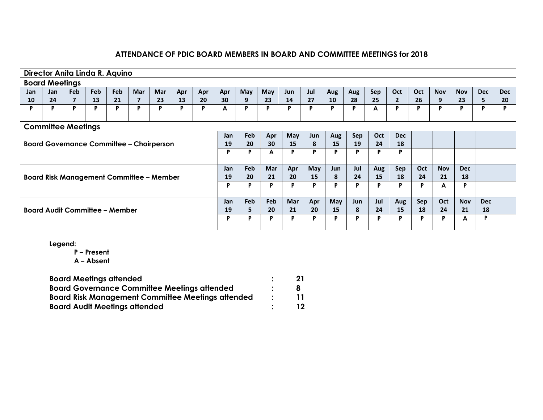|                                                 | Director Anita Linda R. Aquino                  |     |            |     |            |            |     |     |     |     |            |            |     |            |     |     |            |            |            |            |            |            |
|-------------------------------------------------|-------------------------------------------------|-----|------------|-----|------------|------------|-----|-----|-----|-----|------------|------------|-----|------------|-----|-----|------------|------------|------------|------------|------------|------------|
|                                                 | <b>Board Meetings</b>                           |     |            |     |            |            |     |     |     |     |            |            |     |            |     |     |            |            |            |            |            |            |
| <b>Jan</b>                                      | <b>Jan</b>                                      | Feb | <b>Feb</b> | Feb | <b>Mar</b> | <b>Mar</b> | Apr | Apr | Apr | May | May        | Jun        | Jul | Aug        | Aug | Sep | Oct        | Oct        | <b>Nov</b> | <b>Nov</b> | <b>Dec</b> | <b>Dec</b> |
| 10                                              | 24                                              |     | 13         | 21  | 7          | 23         | 13  | 20  | 30  | 9   | 23         | 14         | 27  | 10         | 28  | 25  |            | 26         | 9          | 23         | 5.         | 20         |
| P                                               | P                                               | P   | P          | P   | P          | P          | P   | P   | A   | P   | P          | P          | P   | P          | P   | A   |            | P          | P          | P          | P          | D          |
|                                                 |                                                 |     |            |     |            |            |     |     |     |     |            |            |     |            |     |     |            |            |            |            |            |            |
|                                                 | <b>Committee Meetings</b>                       |     |            |     |            |            |     |     |     |     |            |            |     |            |     |     |            |            |            |            |            |            |
|                                                 |                                                 |     |            |     |            |            |     |     | Jan | Feb | Apr        | May        | Jun | Aug        | Sep | Oct | <b>Dec</b> |            |            |            |            |            |
| <b>Board Governance Committee - Chairperson</b> |                                                 |     |            |     |            |            |     | 19  | 20  | 30  | 15         | 8          | 15  | 19         | 24  | 18  |            |            |            |            |            |            |
|                                                 |                                                 |     |            |     |            |            |     |     | P   | P   | A          | P          | P   | P          | P   | P   |            |            |            |            |            |            |
|                                                 |                                                 |     |            |     |            |            |     |     |     |     |            |            |     |            |     |     |            |            |            |            |            |            |
|                                                 |                                                 |     |            |     |            |            |     |     | Jan | Feb | Mar        | Apr        | May | Jun        | Jul | Aug | Sep        | Oct        | <b>Nov</b> | <b>Dec</b> |            |            |
|                                                 | <b>Board Risk Management Committee - Member</b> |     |            |     |            |            |     |     | 19  | 20  | 21         | 20         | 15  | 8          | 24  | 15  | 18         | 24         | 21         | 18         |            |            |
|                                                 |                                                 |     |            |     |            |            |     |     | P   | P   | P          | P          | P   | P          | P   | P   |            | P          | A          | P          |            |            |
|                                                 |                                                 |     |            |     |            |            |     |     |     |     |            |            |     |            |     |     |            |            |            |            |            |            |
|                                                 |                                                 |     |            |     |            |            |     |     | Jan | Feb | <b>Feb</b> | <b>Mar</b> | Apr | <b>May</b> | Jun | Jul | Aug        | <b>Sep</b> | Oct        | <b>Nov</b> | <b>Dec</b> |            |
|                                                 | <b>Board Audit Committee - Member</b>           |     |            |     |            |            |     |     | 19  | 5.  | 20         | 21         | 20  | 15         | 8   | 24  | 15         | 18         | 24         | 21         | 18         |            |
|                                                 |                                                 |     |            |     |            |            |     |     | P   | Þ   | P          | P          | P   | P          | D   | P   | D          | P          | Þ          | A          | P          |            |
|                                                 |                                                 |     |            |     |            |            |     |     |     |     |            |            |     |            |     |     |            |            |            |            |            |            |

**Legend:**

**P – Present**

**A – Absent**

| <b>Board Meetings attended</b>                           | 21 |
|----------------------------------------------------------|----|
| <b>Board Governance Committee Meetings attended</b>      |    |
| <b>Board Risk Management Committee Meetings attended</b> |    |
| <b>Board Audit Meetings attended</b>                     | 12 |